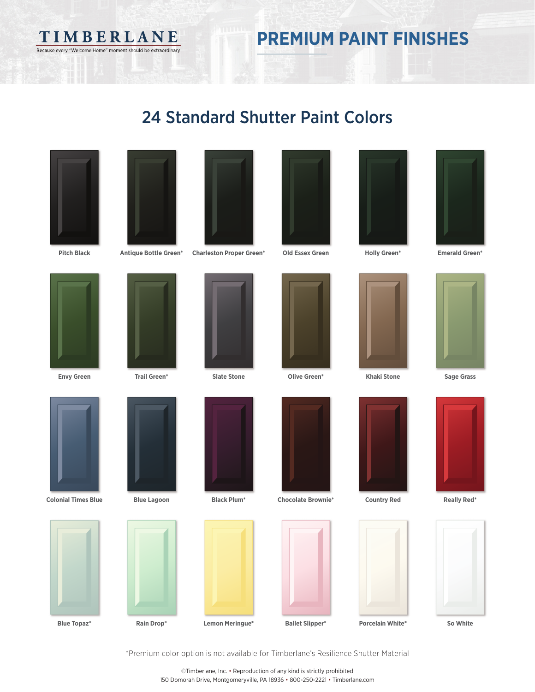TIMBERLANE Because every "Welcome Home" moment should be extraordinary

## **PREMIUM PAINT FINISHES**

### 24 Standard Shutter Paint Colors



**Pitch Black**



**Antique Bottle Green\***



**Charleston Proper Green\***

**Slate Stone**

**Old Essex Green**





**Holly Green\***

**Emerald Green\***

**Sage Grass**



**Envy Green**

**Blue Topaz\***



**Trail Green\***







**Lemon Meringue\***











**Khaki Stone**





\*Premium color option is not available for Timberlane's Resilience Shutter Material

©Timberlane, Inc. • Reproduction of any kind is strictly prohibited 150 Domorah Drive, Montgomeryville, PA 18936 • 800-250-2221 • Timberlane.com